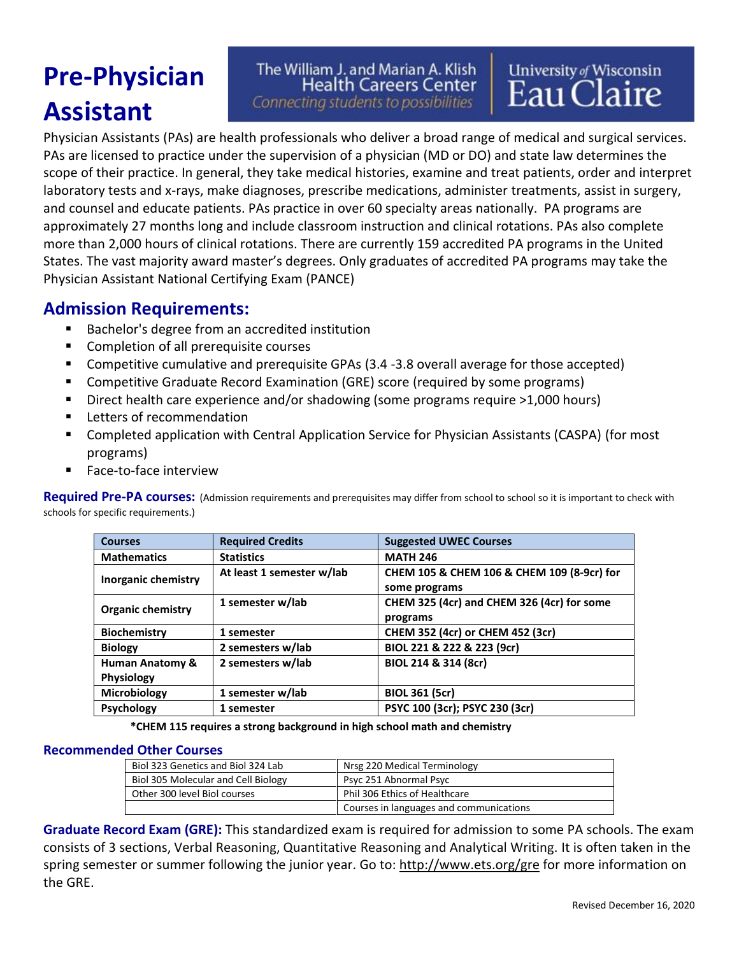# **Pre-Physician Assistant**

### The William J. and Marian A. Klish **Health Careers Center** Connecting students to possibilities

University of Wisconsin<br>Eau Claire

Physician Assistants (PAs) are health professionals who deliver a broad range of medical and surgical services. PAs are licensed to practice under the supervision of a physician (MD or DO) and state law determines the scope of their practice. In general, they take medical histories, examine and treat patients, order and interpret laboratory tests and x-rays, make diagnoses, prescribe medications, administer treatments, assist in surgery, and counsel and educate patients. PAs practice in over 60 specialty areas nationally. PA programs are approximately 27 months long and include classroom instruction and clinical rotations. PAs also complete more than 2,000 hours of clinical rotations. There are currently 159 accredited PA programs in the United States. The vast majority award master's degrees. Only graduates of accredited PA programs may take the Physician Assistant National Certifying Exam (PANCE)

## **Admission Requirements:**

- Bachelor's degree from an accredited institution
- Completion of all prerequisite courses
- Competitive cumulative and prerequisite GPAs (3.4 -3.8 overall average for those accepted)
- Competitive Graduate Record Examination (GRE) score (required by some programs)
- Direct health care experience and/or shadowing (some programs require >1,000 hours)
- Letters of recommendation
- Completed application with Central Application Service for Physician Assistants (CASPA) (for most programs)
- Face-to-face interview

Required Pre-PA courses: (Admission requirements and prerequisites may differ from school to school so it is important to check with schools for specific requirements.)

| <b>Courses</b>             | <b>Required Credits</b>   | <b>Suggested UWEC Courses</b>              |
|----------------------------|---------------------------|--------------------------------------------|
| <b>Mathematics</b>         | <b>Statistics</b>         | <b>MATH 246</b>                            |
|                            | At least 1 semester w/lab | CHEM 105 & CHEM 106 & CHEM 109 (8-9cr) for |
| Inorganic chemistry        |                           | some programs                              |
|                            | 1 semester w/lab          | CHEM 325 (4cr) and CHEM 326 (4cr) for some |
| <b>Organic chemistry</b>   |                           | programs                                   |
| <b>Biochemistry</b>        | 1 semester                | CHEM 352 (4cr) or CHEM 452 (3cr)           |
| <b>Biology</b>             | 2 semesters w/lab         | BIOL 221 & 222 & 223 (9cr)                 |
| <b>Human Anatomy &amp;</b> | 2 semesters w/lab         | BIOL 214 & 314 (8cr)                       |
| <b>Physiology</b>          |                           |                                            |
| Microbiology               | 1 semester w/lab          | <b>BIOL 361 (5cr)</b>                      |
| <b>Psychology</b>          | 1 semester                | PSYC 100 (3cr); PSYC 230 (3cr)             |

**\*CHEM 115 requires a strong background in high school math and chemistry**

#### **Recommended Other Courses**

| Biol 323 Genetics and Biol 324 Lab  | Nrsg 220 Medical Terminology            |
|-------------------------------------|-----------------------------------------|
| Biol 305 Molecular and Cell Biology | Psyc 251 Abnormal Psyc                  |
| Other 300 level Biol courses        | Phil 306 Ethics of Healthcare           |
|                                     | Courses in languages and communications |

**Graduate Record Exam (GRE):** This standardized exam is required for admission to some PA schools. The exam consists of 3 sections, Verbal Reasoning, Quantitative Reasoning and Analytical Writing. It is often taken in the spring semester or summer following the junior year. Go to:<http://www.ets.org/gre> for more information on the GRE.